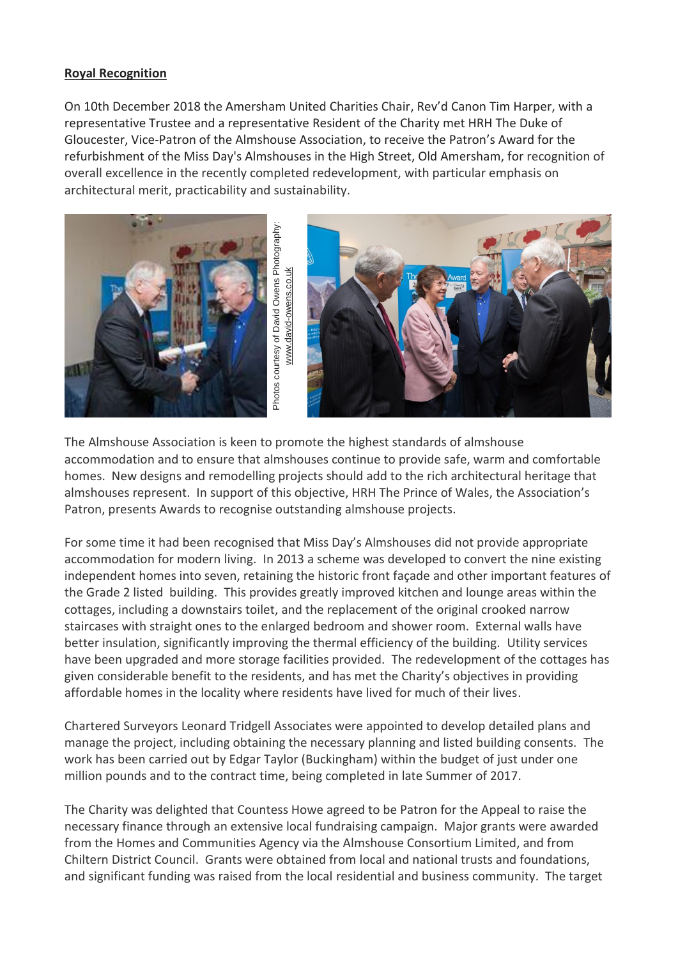## **Royal Recognition**

On 10th December 2018 the Amersham United Charities Chair, Rev'd Canon Tim Harper, with a representative Trustee and a representative Resident of the Charity met HRH The Duke of Gloucester, Vice-Patron of the Almshouse Association, to receive the Patron's Award for the refurbishment of the Miss Day's Almshouses in the High Street, Old Amersham, for recognition of overall excellence in the recently completed redevelopment, with particular emphasis on architectural merit, practicability and sustainability.



The Almshouse Association is keen to promote the highest standards of almshouse accommodation and to ensure that almshouses continue to provide safe, warm and comfortable homes. New designs and remodelling projects should add to the rich architectural heritage that almshouses represent. In support of this objective, HRH The Prince of Wales, the Association's Patron, presents Awards to recognise outstanding almshouse projects.

For some time it had been recognised that Miss Day's Almshouses did not provide appropriate accommodation for modern living. In 2013 a scheme was developed to convert the nine existing independent homes into seven, retaining the historic front façade and other important features of the Grade 2 listed building. This provides greatly improved kitchen and lounge areas within the cottages, including a downstairs toilet, and the replacement of the original crooked narrow staircases with straight ones to the enlarged bedroom and shower room. External walls have better insulation, significantly improving the thermal efficiency of the building. Utility services have been upgraded and more storage facilities provided. The redevelopment of the cottages has given considerable benefit to the residents, and has met the Charity's objectives in providing affordable homes in the locality where residents have lived for much of their lives.

Chartered Surveyors Leonard Tridgell Associates were appointed to develop detailed plans and manage the project, including obtaining the necessary planning and listed building consents. The work has been carried out by Edgar Taylor (Buckingham) within the budget of just under one million pounds and to the contract time, being completed in late Summer of 2017.

The Charity was delighted that Countess Howe agreed to be Patron for the Appeal to raise the necessary finance through an extensive local fundraising campaign. Major grants were awarded from the Homes and Communities Agency via the Almshouse Consortium Limited, and from Chiltern District Council. Grants were obtained from local and national trusts and foundations,